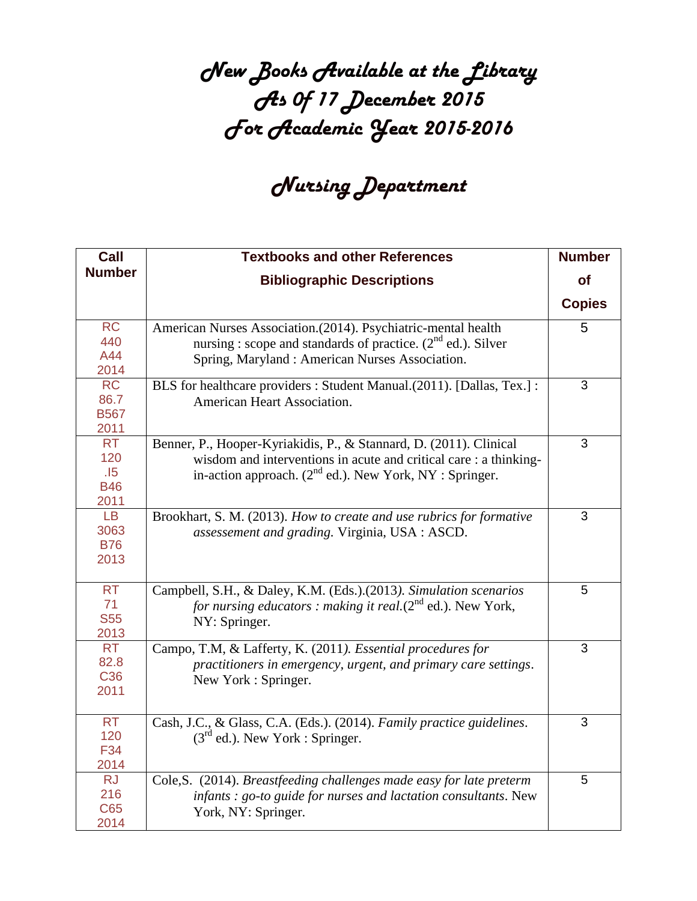## *New Books Available at the Library As 0f 17 December 2015 For Academic Year 2015-2016*

## *Nursing Department*

| Call                                          | <b>Textbooks and other References</b>                                                                                                                                                                   | <b>Number</b> |
|-----------------------------------------------|---------------------------------------------------------------------------------------------------------------------------------------------------------------------------------------------------------|---------------|
| <b>Number</b>                                 | <b>Bibliographic Descriptions</b>                                                                                                                                                                       | <b>of</b>     |
|                                               |                                                                                                                                                                                                         | <b>Copies</b> |
| <b>RC</b><br>440<br>A44<br>2014               | American Nurses Association.(2014). Psychiatric-mental health<br>nursing : scope and standards of practice. $(2nd$ ed.). Silver<br>Spring, Maryland: American Nurses Association.                       | 5             |
| RC<br>86.7<br><b>B567</b><br>2011             | BLS for healthcare providers : Student Manual.(2011). [Dallas, Tex.] :<br>American Heart Association.                                                                                                   | 3             |
| <b>RT</b><br>120<br>.15<br><b>B46</b><br>2011 | Benner, P., Hooper-Kyriakidis, P., & Stannard, D. (2011). Clinical<br>wisdom and interventions in acute and critical care : a thinking-<br>in-action approach. $(2^{nd}$ ed.). New York, NY : Springer. | 3             |
| LB.<br>3063<br><b>B76</b><br>2013             | Brookhart, S. M. (2013). How to create and use rubrics for formative<br>assessement and grading. Virginia, USA : ASCD.                                                                                  | 3             |
| <b>RT</b><br>71<br><b>S55</b><br>2013         | Campbell, S.H., & Daley, K.M. (Eds.).(2013). Simulation scenarios<br>for nursing educators : making it real. $(2^{nd}$ ed.). New York,<br>NY: Springer.                                                 | 5             |
| <b>RT</b><br>82.8<br>C <sub>36</sub><br>2011  | Campo, T.M, & Lafferty, K. (2011). Essential procedures for<br>practitioners in emergency, urgent, and primary care settings.<br>New York: Springer.                                                    | 3             |
| <b>RT</b><br>120<br>F34<br>2014               | Cash, J.C., & Glass, C.A. (Eds.). (2014). Family practice guidelines.<br>$(3rd$ ed.). New York : Springer.                                                                                              | 3             |
| <b>RJ</b><br>216<br>C65<br>2014               | Cole, S. (2014). Breastfeeding challenges made easy for late preterm<br>infants : go-to guide for nurses and lactation consultants. New<br>York, NY: Springer.                                          | 5             |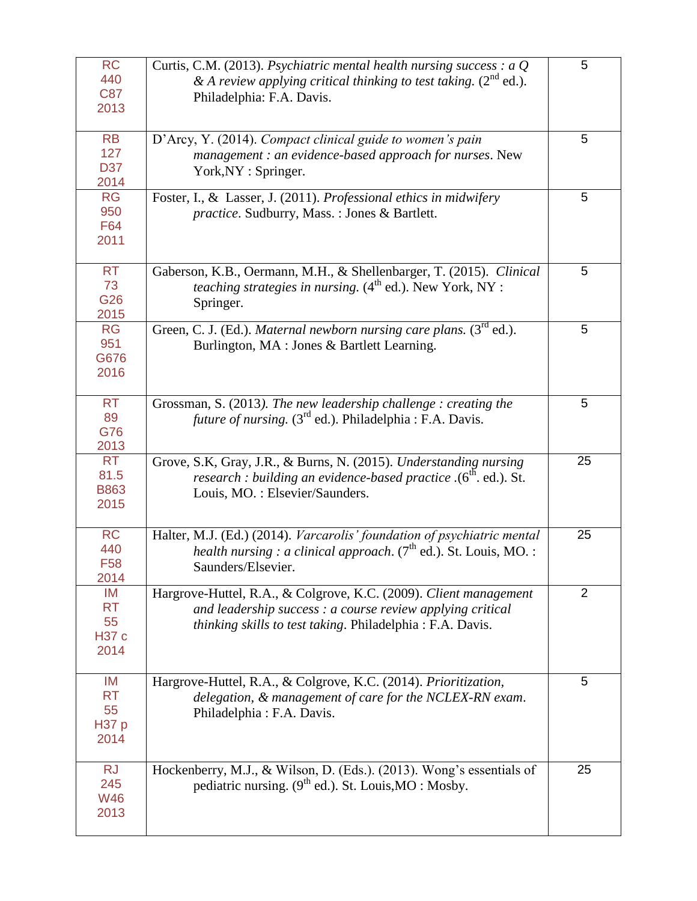| <b>RC</b><br>440<br><b>C87</b><br>2013        | Curtis, C.M. (2013). Psychiatric mental health nursing success : $aQ$<br>& A review applying critical thinking to test taking. $(2^{nd}$ ed.).<br>Philadelphia: F.A. Davis.                  | 5  |
|-----------------------------------------------|----------------------------------------------------------------------------------------------------------------------------------------------------------------------------------------------|----|
| <b>RB</b><br>127<br>D37<br>2014               | D'Arcy, Y. (2014). Compact clinical guide to women's pain<br>management : an evidence-based approach for nurses. New<br>York, NY: Springer.                                                  | 5  |
| <b>RG</b><br>950<br>F64<br>2011               | Foster, I., & Lasser, J. (2011). Professional ethics in midwifery<br>practice. Sudburry, Mass.: Jones & Bartlett.                                                                            | 5  |
| <b>RT</b><br>73<br>G26<br>2015                | Gaberson, K.B., Oermann, M.H., & Shellenbarger, T. (2015). Clinical<br><i>teaching strategies in nursing.</i> $(4^{th}$ ed.). New York, NY :<br>Springer.                                    | 5  |
| <b>RG</b><br>951<br>G676<br>2016              | Green, C. J. (Ed.). Maternal newborn nursing care plans. (3 <sup>rd</sup> ed.).<br>Burlington, MA : Jones & Bartlett Learning.                                                               | 5  |
| <b>RT</b><br>89<br>G76<br>2013                | Grossman, S. (2013). The new leadership challenge : creating the<br><i>future of nursing.</i> $(3^{rd}$ ed.). Philadelphia : F.A. Davis.                                                     | 5  |
| <b>RT</b><br>81.5<br><b>B863</b><br>2015      | Grove, S.K, Gray, J.R., & Burns, N. (2015). Understanding nursing<br>research : building an evidence-based practice .(6 <sup>th</sup> . ed.). St.<br>Louis, MO.: Elsevier/Saunders.          | 25 |
| <b>RC</b><br>440<br>F <sub>58</sub><br>2014   | Halter, M.J. (Ed.) (2014). Varcarolis' foundation of psychiatric mental<br><i>health nursing : a clinical approach.</i> $(7^{\text{th}}$ ed.). St. Louis, MO. :<br>Saunders/Elsevier.        | 25 |
| IM<br><b>RT</b><br>55<br><b>H37 c</b><br>2014 | Hargrove-Huttel, R.A., & Colgrove, K.C. (2009). Client management<br>and leadership success : a course review applying critical<br>thinking skills to test taking. Philadelphia: F.A. Davis. | 2  |
| IM<br><b>RT</b><br>55<br><b>H37 p</b><br>2014 | Hargrove-Huttel, R.A., & Colgrove, K.C. (2014). Prioritization,<br>delegation, & management of care for the NCLEX-RN exam.<br>Philadelphia: F.A. Davis.                                      | 5  |
| <b>RJ</b><br>245<br><b>W46</b><br>2013        | Hockenberry, M.J., & Wilson, D. (Eds.). (2013). Wong's essentials of<br>pediatric nursing. $(9th$ ed.). St. Louis, MO : Mosby.                                                               | 25 |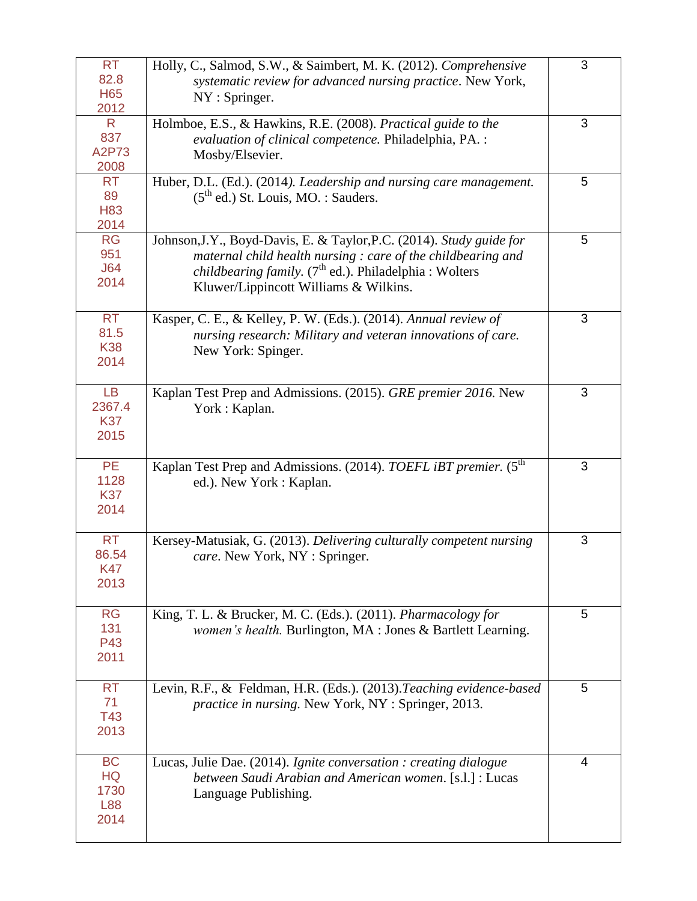| <b>RT</b><br>82.8<br><b>H65</b><br>2012       | Holly, C., Salmod, S.W., & Saimbert, M. K. (2012). Comprehensive<br>systematic review for advanced nursing practice. New York,<br>NY: Springer.                                                                                                  | 3 |
|-----------------------------------------------|--------------------------------------------------------------------------------------------------------------------------------------------------------------------------------------------------------------------------------------------------|---|
| R.<br>837<br>A2P73<br>2008                    | Holmboe, E.S., & Hawkins, R.E. (2008). Practical guide to the<br>evaluation of clinical competence. Philadelphia, PA. :<br>Mosby/Elsevier.                                                                                                       | 3 |
| <b>RT</b><br>89<br>H83<br>2014                | Huber, D.L. (Ed.). (2014). Leadership and nursing care management.<br>$(5th$ ed.) St. Louis, MO. : Sauders.                                                                                                                                      | 5 |
| <b>RG</b><br>951<br>J64<br>2014               | Johnson, J.Y., Boyd-Davis, E. & Taylor, P.C. (2014). Study guide for<br>maternal child health nursing : care of the childbearing and<br><i>childbearing family.</i> $(7th$ ed.). Philadelphia : Wolters<br>Kluwer/Lippincott Williams & Wilkins. | 5 |
| <b>RT</b><br>81.5<br><b>K38</b><br>2014       | Kasper, C. E., & Kelley, P. W. (Eds.). (2014). Annual review of<br>nursing research: Military and veteran innovations of care.<br>New York: Spinger.                                                                                             | 3 |
| <b>LB</b><br>2367.4<br><b>K37</b><br>2015     | Kaplan Test Prep and Admissions. (2015). GRE premier 2016. New<br>York: Kaplan.                                                                                                                                                                  | 3 |
| PE<br>1128<br><b>K37</b><br>2014              | Kaplan Test Prep and Admissions. (2014). TOEFL iBT premier. (5 <sup>th</sup><br>ed.). New York: Kaplan.                                                                                                                                          | 3 |
| RT<br>86.54<br><b>K47</b><br>2013             | Kersey-Matusiak, G. (2013). Delivering culturally competent nursing<br>care. New York, NY : Springer.                                                                                                                                            | 3 |
| <b>RG</b><br>131<br>P43<br>2011               | King, T. L. & Brucker, M. C. (Eds.). (2011). Pharmacology for<br>women's health. Burlington, MA : Jones & Bartlett Learning.                                                                                                                     | 5 |
| <b>RT</b><br>71<br>T43<br>2013                | Levin, R.F., & Feldman, H.R. (Eds.). (2013). Teaching evidence-based<br><i>practice in nursing.</i> New York, NY : Springer, 2013.                                                                                                               | 5 |
| <b>BC</b><br><b>HQ</b><br>1730<br>L88<br>2014 | Lucas, Julie Dae. (2014). Ignite conversation : creating dialogue<br>between Saudi Arabian and American women. [s.l.] : Lucas<br>Language Publishing.                                                                                            | 4 |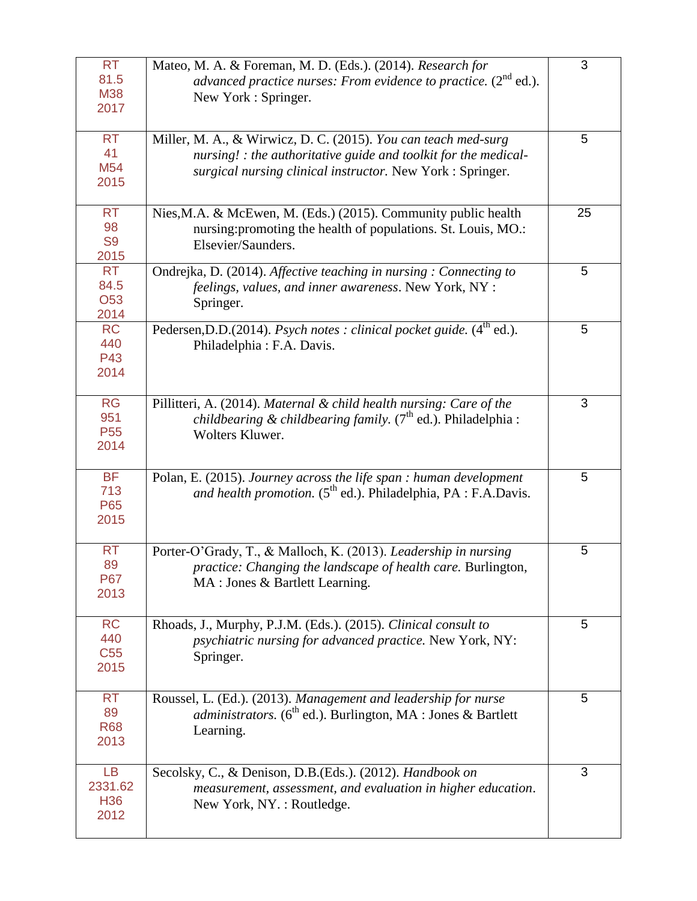| <b>RT</b><br>81.5<br><b>M38</b><br>2017         | Mateo, M. A. & Foreman, M. D. (Eds.). (2014). Research for<br>advanced practice nurses: From evidence to practice. $(2^{nd}$ ed.).<br>New York : Springer.                                      | 3  |
|-------------------------------------------------|-------------------------------------------------------------------------------------------------------------------------------------------------------------------------------------------------|----|
| <b>RT</b><br>41<br>M54<br>2015                  | Miller, M. A., & Wirwicz, D. C. (2015). You can teach med-surg<br>nursing! : the authoritative guide and toolkit for the medical-<br>surgical nursing clinical instructor. New York : Springer. | 5  |
| <b>RT</b><br>98<br>S <sub>9</sub><br>2015       | Nies, M.A. & McEwen, M. (Eds.) (2015). Community public health<br>nursing: promoting the health of populations. St. Louis, MO.:<br>Elsevier/Saunders.                                           | 25 |
| <b>RT</b><br>84.5<br>O53<br>2014                | Ondrejka, D. (2014). Affective teaching in nursing: Connecting to<br>feelings, values, and inner awareness. New York, NY :<br>Springer.                                                         | 5  |
| <b>RC</b><br>440<br>P43<br>2014                 | Pedersen, D.D. (2014). Psych notes : clinical pocket guide. (4 <sup>th</sup> ed.).<br>Philadelphia: F.A. Davis.                                                                                 | 5  |
| <b>RG</b><br>951<br>P <sub>55</sub><br>2014     | Pillitteri, A. (2014). Maternal & child health nursing: Care of the<br><i>childbearing &amp; childbearing family.</i> $(7th$ ed.). Philadelphia :<br>Wolters Kluwer.                            | 3  |
| <b>BF</b><br>713<br>P65<br>2015                 | Polan, E. (2015). Journey across the life span : human development<br>and health promotion. $(5^{th}$ ed.). Philadelphia, PA : F.A.Davis.                                                       | 5  |
| <b>RT</b><br>89<br><b>P67</b><br>2013           | Porter-O'Grady, T., & Malloch, K. (2013). Leadership in nursing<br>practice: Changing the landscape of health care. Burlington,<br>MA : Jones & Bartlett Learning.                              | 5  |
| <b>RC</b><br>440<br>C <sub>55</sub><br>2015     | Rhoads, J., Murphy, P.J.M. (Eds.). (2015). Clinical consult to<br>psychiatric nursing for advanced practice. New York, NY:<br>Springer.                                                         | 5  |
| <b>RT</b><br>89<br><b>R68</b><br>2013           | Roussel, L. (Ed.). (2013). Management and leadership for nurse<br>administrators. (6 <sup>th</sup> ed.). Burlington, MA : Jones & Bartlett<br>Learning.                                         | 5  |
| <b>LB</b><br>2331.62<br>H <sub>36</sub><br>2012 | Secolsky, C., & Denison, D.B.(Eds.). (2012). Handbook on<br>measurement, assessment, and evaluation in higher education.<br>New York, NY.: Routledge.                                           | 3  |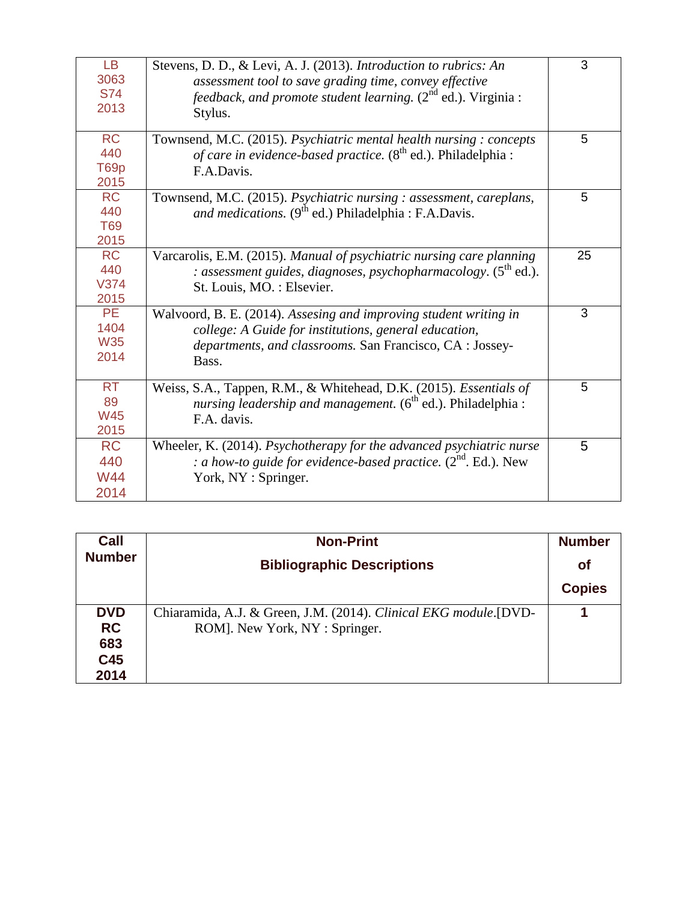| LB.<br>3063<br><b>S74</b><br>2013       | Stevens, D. D., & Levi, A. J. (2013). Introduction to rubrics: An<br>assessment tool to save grading time, convey effective<br><i>feedback, and promote student learning.</i> (2 <sup>nd</sup> ed.). Virginia :<br>Stylus. | 3  |
|-----------------------------------------|----------------------------------------------------------------------------------------------------------------------------------------------------------------------------------------------------------------------------|----|
| <b>RC</b><br>440<br>T69p<br>2015        | Townsend, M.C. (2015). Psychiatric mental health nursing: concepts<br>of care in evidence-based practice. (8 <sup>th</sup> ed.). Philadelphia :<br>F.A.Davis.                                                              | 5  |
| <b>RC</b><br>440<br>T69<br>2015         | Townsend, M.C. (2015). Psychiatric nursing : assessment, careplans,<br>and medications. $(9^{th}$ ed.) Philadelphia : F.A.Davis.                                                                                           | 5  |
| <b>RC</b><br>440<br>V374<br>2015        | Varcarolis, E.M. (2015). Manual of psychiatric nursing care planning<br>: assessment guides, diagnoses, psychopharmacology. $(5^{th}$ ed.).<br>St. Louis, MO.: Elsevier.                                                   | 25 |
| <b>PE</b><br>1404<br><b>W35</b><br>2014 | Walvoord, B. E. (2014). Assesing and improving student writing in<br>college: A Guide for institutions, general education,<br>departments, and classrooms. San Francisco, CA : Jossey-<br>Bass.                            | 3  |
| <b>RT</b><br>89<br><b>W45</b><br>2015   | Weiss, S.A., Tappen, R.M., & Whitehead, D.K. (2015). Essentials of<br>nursing leadership and management. $(6^{th}$ ed.). Philadelphia :<br>F.A. davis.                                                                     | 5  |
| <b>RC</b><br>440<br><b>W44</b><br>2014  | Wheeler, K. (2014). Psychotherapy for the advanced psychiatric nurse<br>: a how-to guide for evidence-based practice. $(2^{nd}$ . Ed.). New<br>York, NY : Springer.                                                        | 5  |

| Call          | <b>Non-Print</b>                                                  | <b>Number</b> |
|---------------|-------------------------------------------------------------------|---------------|
| <b>Number</b> | <b>Bibliographic Descriptions</b>                                 | <b>of</b>     |
|               |                                                                   | <b>Copies</b> |
| <b>DVD</b>    | Chiaramida, A.J. & Green, J.M. (2014). Clinical EKG module. [DVD- |               |
| <b>RC</b>     | ROM]. New York, NY : Springer.                                    |               |
| 683           |                                                                   |               |
| C45           |                                                                   |               |
| 2014          |                                                                   |               |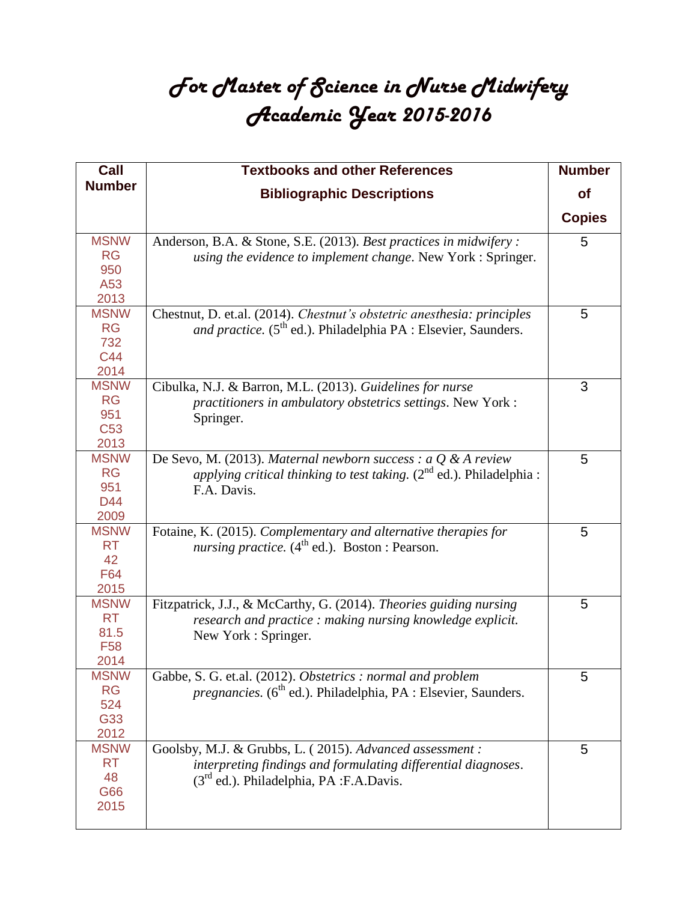## *For Master of Science in Nurse Midwifery Academic Year 2015-2016*

| Call                | <b>Textbooks and other References</b>                                            | <b>Number</b> |
|---------------------|----------------------------------------------------------------------------------|---------------|
| <b>Number</b>       | <b>Bibliographic Descriptions</b>                                                | <b>of</b>     |
|                     |                                                                                  | <b>Copies</b> |
| <b>MSNW</b>         | Anderson, B.A. & Stone, S.E. (2013). Best practices in midwifery :               | 5             |
| <b>RG</b>           | using the evidence to implement change. New York : Springer.                     |               |
| 950                 |                                                                                  |               |
| A53                 |                                                                                  |               |
| 2013                |                                                                                  |               |
| <b>MSNW</b>         | Chestnut, D. et.al. (2014). Chestnut's obstetric anesthesia: principles          | 5             |
| <b>RG</b>           | and practice. (5 <sup>th</sup> ed.). Philadelphia PA : Elsevier, Saunders.       |               |
| 732                 |                                                                                  |               |
| C44                 |                                                                                  |               |
| 2014                |                                                                                  |               |
| <b>MSNW</b>         | Cibulka, N.J. & Barron, M.L. (2013). Guidelines for nurse                        | 3             |
| <b>RG</b>           | practitioners in ambulatory obstetrics settings. New York:                       |               |
| 951                 | Springer.                                                                        |               |
| C <sub>53</sub>     |                                                                                  |               |
| 2013                |                                                                                  |               |
| <b>MSNW</b>         | De Sevo, M. (2013). Maternal newborn success : a $Q$ & A review                  | 5             |
| <b>RG</b>           | <i>applying critical thinking to test taking.</i> $(2^{nd}$ ed.). Philadelphia : |               |
| 951                 | F.A. Davis.                                                                      |               |
| D44                 |                                                                                  |               |
| 2009                |                                                                                  |               |
| <b>MSNW</b>         | Fotaine, K. (2015). Complementary and alternative therapies for                  | 5             |
| <b>RT</b>           | nursing practice. $(4^{th}$ ed.). Boston : Pearson.                              |               |
| 42                  |                                                                                  |               |
| F64                 |                                                                                  |               |
| 2015                |                                                                                  |               |
| <b>MSNW</b>         | Fitzpatrick, J.J., & McCarthy, G. (2014). Theories guiding nursing               | 5             |
| <b>RT</b>           | research and practice: making nursing knowledge explicit.                        |               |
| 81.5                | New York : Springer.                                                             |               |
| F <sub>58</sub>     |                                                                                  |               |
| 2014                |                                                                                  |               |
| <b>MSNW</b>         | Gabbe, S. G. et.al. (2012). Obstetrics : normal and problem                      | 5             |
| <b>RG</b>           | <i>pregnancies.</i> ( $6^{th}$ ed.). Philadelphia, PA : Elsevier, Saunders.      |               |
| 524<br>G33          |                                                                                  |               |
|                     |                                                                                  |               |
| 2012<br><b>MSNW</b> |                                                                                  |               |
| <b>RT</b>           | Goolsby, M.J. & Grubbs, L. (2015). Advanced assessment :                         | 5             |
| 48                  | interpreting findings and formulating differential diagnoses.                    |               |
| G66                 | $(3rd$ ed.). Philadelphia, PA :F.A.Davis.                                        |               |
| 2015                |                                                                                  |               |
|                     |                                                                                  |               |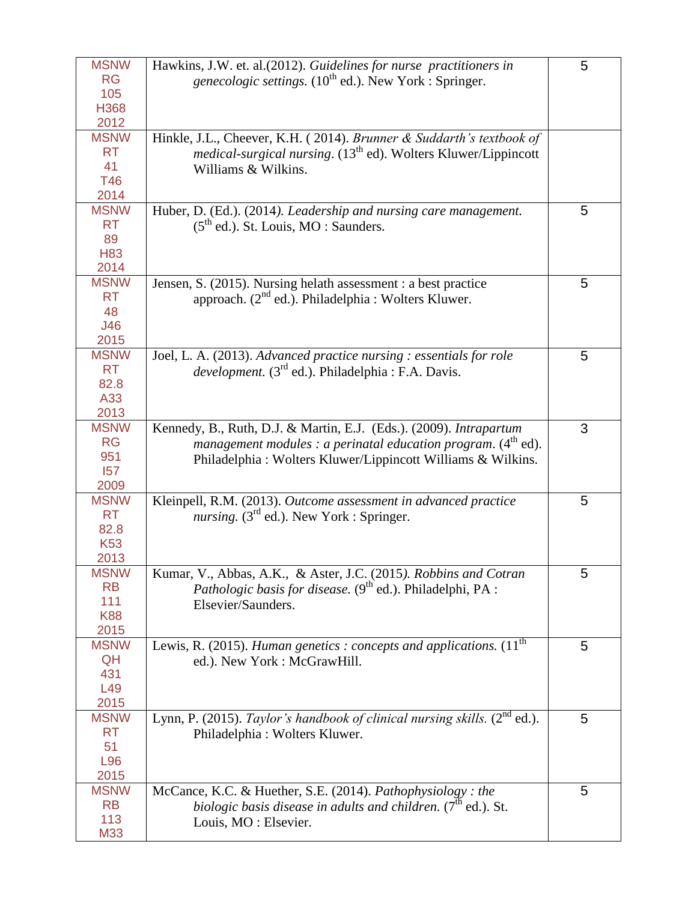| <b>MSNW</b>     | Hawkins, J.W. et. al.(2012). Guidelines for nurse practitioners in                | 5 |
|-----------------|-----------------------------------------------------------------------------------|---|
| <b>RG</b>       | <i>genecologic settings.</i> ( $10^{th}$ ed.). New York : Springer.               |   |
| 105             |                                                                                   |   |
| H368            |                                                                                   |   |
| 2012            |                                                                                   |   |
| <b>MSNW</b>     | Hinkle, J.L., Cheever, K.H. (2014). Brunner & Suddarth's textbook of              |   |
| <b>RT</b>       | <i>medical-surgical nursing.</i> (13 <sup>th</sup> ed). Wolters Kluwer/Lippincott |   |
| 41              | Williams & Wilkins.                                                               |   |
| <b>T46</b>      |                                                                                   |   |
| 2014            |                                                                                   |   |
| <b>MSNW</b>     | Huber, D. (Ed.). (2014). Leadership and nursing care management.                  | 5 |
| <b>RT</b>       |                                                                                   |   |
| 89              | $(5th$ ed.). St. Louis, MO : Saunders.                                            |   |
|                 |                                                                                   |   |
| <b>H83</b>      |                                                                                   |   |
| 2014            |                                                                                   |   |
| <b>MSNW</b>     | Jensen, S. (2015). Nursing helath assessment : a best practice                    | 5 |
| <b>RT</b>       | approach. (2 <sup>nd</sup> ed.). Philadelphia : Wolters Kluwer.                   |   |
| 48              |                                                                                   |   |
| J46             |                                                                                   |   |
| 2015            |                                                                                   |   |
| <b>MSNW</b>     | Joel, L. A. (2013). Advanced practice nursing : essentials for role               | 5 |
| <b>RT</b>       | <i>development.</i> $(3^{rd}$ ed.). Philadelphia : F.A. Davis.                    |   |
| 82.8            |                                                                                   |   |
| A33             |                                                                                   |   |
| 2013            |                                                                                   |   |
| <b>MSNW</b>     | Kennedy, B., Ruth, D.J. & Martin, E.J. (Eds.). (2009). Intrapartum                | 3 |
| <b>RG</b>       |                                                                                   |   |
| 951             | management modules : a perinatal education program. $(4th$ ed).                   |   |
|                 | Philadelphia : Wolters Kluwer/Lippincott Williams & Wilkins.                      |   |
| 157             |                                                                                   |   |
| 2009            |                                                                                   |   |
| <b>MSNW</b>     | Kleinpell, R.M. (2013). Outcome assessment in advanced practice                   | 5 |
| <b>RT</b>       | <i>nursing.</i> ( $3rd$ ed.). New York : Springer.                                |   |
| 82.8            |                                                                                   |   |
| <b>K53</b>      |                                                                                   |   |
| 2013            |                                                                                   |   |
| <b>MSNW</b>     | Kumar, V., Abbas, A.K., & Aster, J.C. (2015). Robbins and Cotran                  | 5 |
| <b>RB</b>       | <i>Pathologic basis for disease.</i> $(9th$ ed.). Philadelphi, PA :               |   |
| 111             | Elsevier/Saunders.                                                                |   |
| <b>K88</b>      |                                                                                   |   |
| 2015            |                                                                                   |   |
| <b>MSNW</b>     | Lewis, R. (2015). Human genetics : concepts and applications. $(11th$             | 5 |
| QH              | ed.). New York : McGrawHill.                                                      |   |
| 431             |                                                                                   |   |
| L <sub>49</sub> |                                                                                   |   |
| 2015            |                                                                                   |   |
|                 |                                                                                   |   |
| <b>MSNW</b>     | Lynn, P. (2015). Taylor's handbook of clinical nursing skills. $(2^{nd}$ ed.).    | 5 |
| <b>RT</b>       | Philadelphia: Wolters Kluwer.                                                     |   |
| 51              |                                                                                   |   |
| L96             |                                                                                   |   |
| 2015            |                                                                                   |   |
| <b>MSNW</b>     | McCance, K.C. & Huether, S.E. (2014). Pathophysiology : the                       | 5 |
| <b>RB</b>       | biologic basis disease in adults and children. $(7th$ ed.). St.                   |   |
| 113             | Louis, MO : Elsevier.                                                             |   |
| M33             |                                                                                   |   |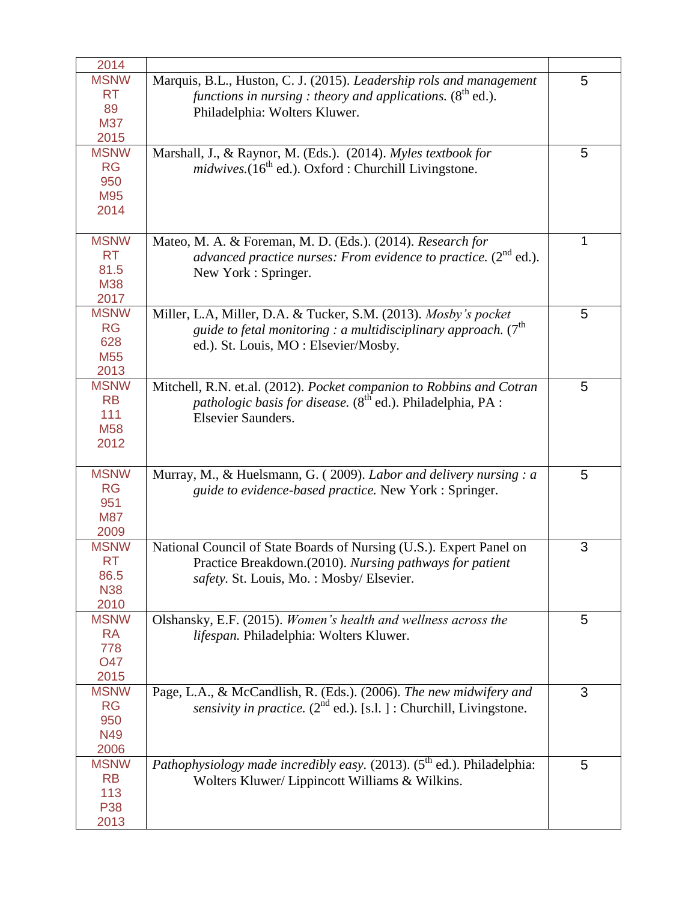| 2014                                                       |                                                                                                                                                                                        |   |
|------------------------------------------------------------|----------------------------------------------------------------------------------------------------------------------------------------------------------------------------------------|---|
| <b>MSNW</b><br><b>RT</b><br>89<br><b>M37</b><br>2015       | Marquis, B.L., Huston, C. J. (2015). Leadership rols and management<br>functions in nursing : theory and applications. $(8^{th}$ ed.).<br>Philadelphia: Wolters Kluwer.                | 5 |
| <b>MSNW</b><br><b>RG</b><br>950<br>M95<br>2014             | Marshall, J., & Raynor, M. (Eds.). (2014). Myles textbook for<br>midwives.(16 <sup>th</sup> ed.). Oxford : Churchill Livingstone.                                                      | 5 |
| <b>MSNW</b><br><b>RT</b><br>81.5<br><b>M38</b><br>2017     | Mateo, M. A. & Foreman, M. D. (Eds.). (2014). Research for<br>advanced practice nurses: From evidence to practice. $(2^{nd}$ ed.).<br>New York : Springer.                             | 1 |
| <b>MSNW</b><br><b>RG</b><br>628<br>M <sub>55</sub><br>2013 | Miller, L.A, Miller, D.A. & Tucker, S.M. (2013). Mosby's pocket<br>guide to fetal monitoring : a multidisciplinary approach. $(7^{\text{th}})$<br>ed.). St. Louis, MO: Elsevier/Mosby. | 5 |
| <b>MSNW</b><br><b>RB</b><br>111<br>M <sub>58</sub><br>2012 | Mitchell, R.N. et.al. (2012). Pocket companion to Robbins and Cotran<br><i>pathologic basis for disease.</i> (8 <sup>th</sup> ed.). Philadelphia, PA :<br><b>Elsevier Saunders.</b>    | 5 |
| <b>MSNW</b><br><b>RG</b><br>951<br><b>M87</b><br>2009      | Murray, M., & Huelsmann, G. (2009). Labor and delivery nursing : a<br>guide to evidence-based practice. New York : Springer.                                                           | 5 |
| <b>MSNW</b><br><b>RT</b><br>86.5<br><b>N38</b><br>2010     | National Council of State Boards of Nursing (U.S.). Expert Panel on<br>Practice Breakdown.(2010). Nursing pathways for patient<br>safety. St. Louis, Mo.: Mosby/Elsevier.              | 3 |
| <b>MSNW</b><br><b>RA</b><br>778<br><b>O47</b><br>2015      | Olshansky, E.F. (2015). Women's health and wellness across the<br>lifespan. Philadelphia: Wolters Kluwer.                                                                              | 5 |
| <b>MSNW</b><br><b>RG</b><br>950<br>N49<br>2006             | Page, L.A., & McCandlish, R. (Eds.). (2006). The new midwifery and<br>sensivity in practice. $(2^{nd}$ ed.). [s.l.] : Churchill, Livingstone.                                          | 3 |
| <b>MSNW</b><br><b>RB</b><br>113<br><b>P38</b><br>2013      | Pathophysiology made incredibly easy. $(2013)$ . $(5th$ ed.). Philadelphia:<br>Wolters Kluwer/ Lippincott Williams & Wilkins.                                                          | 5 |